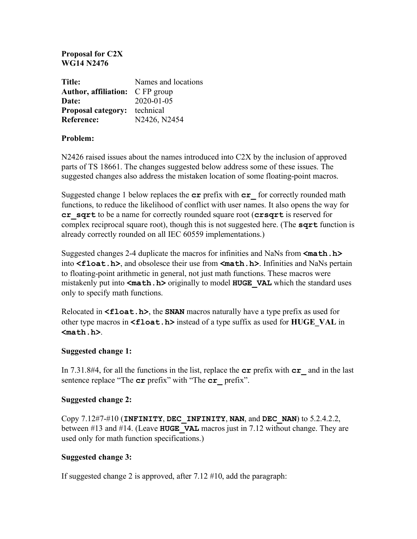#### **Proposal for C2X WG14 N2476**

| Title:                                 | Names and locations |
|----------------------------------------|---------------------|
| <b>Author, affiliation:</b> C FP group |                     |
| Date:                                  | $2020 - 01 - 05$    |
| <b>Proposal category:</b>              | technical           |
| <b>Reference:</b>                      | N2426, N2454        |

## **Problem:**

N2426 raised issues about the names introduced into C2X by the inclusion of approved parts of TS 18661. The changes suggested below address some of these issues. The suggested changes also address the mistaken location of some floating-point macros.

Suggested change 1 below replaces the **cr** prefix with **cr\_** for correctly rounded math functions, to reduce the likelihood of conflict with user names. It also opens the way for **cr\_sqrt** to be a name for correctly rounded square root (**crsqrt** is reserved for complex reciprocal square root), though this is not suggested here. (The **sqrt** function is already correctly rounded on all IEC 60559 implementations.)

Suggested changes 2-4 duplicate the macros for infinities and NaNs from **<math.h>** into **<float.h>**, and obsolesce their use from **<math.h>**. Infinities and NaNs pertain to floating-point arithmetic in general, not just math functions. These macros were mistakenly put into <math.h> originally to model **HUGE** VAL which the standard uses only to specify math functions.

Relocated in **<float.h>**, the **SNAN** macros naturally have a type prefix as used for other type macros in **<float.h>** instead of a type suffix as used for **HUGE** VAL in **<math.h>**.

#### **Suggested change 1:**

In 7.31.8#4, for all the functions in the list, replace the **cr** prefix with **cr\_** and in the last sentence replace "The **cr** prefix" with "The **cr** prefix".

## **Suggested change 2:**

Copy 7.12#7-#10 (**INFINITY**, **DEC\_INFINITY**, **NAN**, and **DEC\_NAN**) to 5.2.4.2.2, between #13 and #14. (Leave **HUGE\_VAL** macros just in 7.12 without change. They are used only for math function specifications.)

## **Suggested change 3:**

If suggested change 2 is approved, after 7.12 #10, add the paragraph: